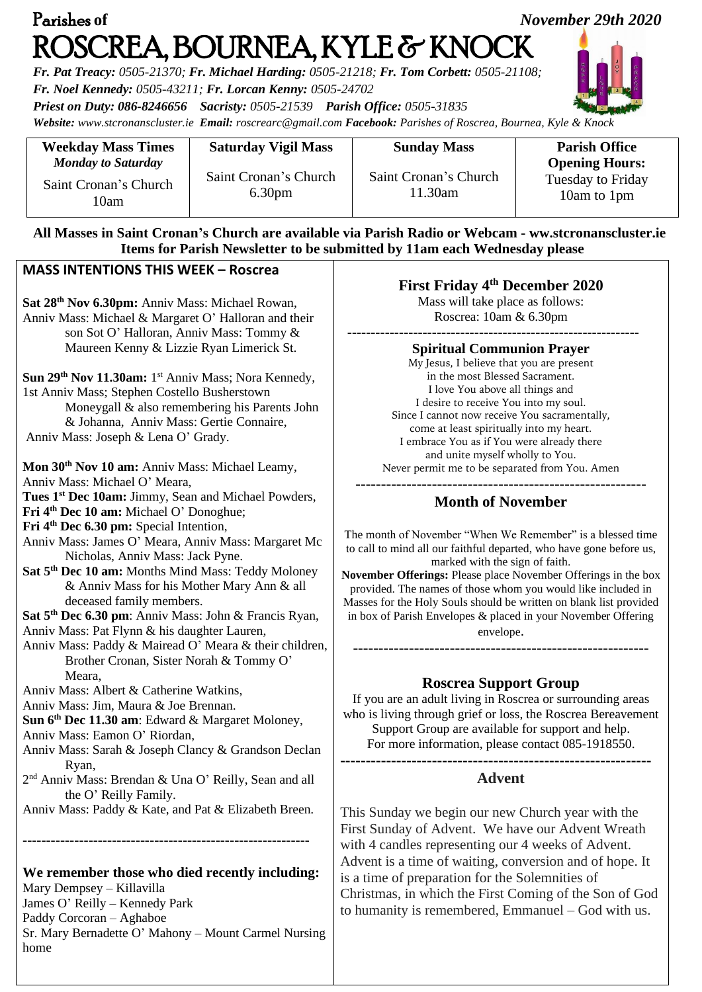| Parishes of<br>November 29th 2020<br>ROSCREA, BOURNEA, KYLE & KNOCK<br>Fr. Pat Treacy: 0505-21370; Fr. Michael Harding: 0505-21218; Fr. Tom Corbett: 0505-21108;<br>Fr. Noel Kennedy: 0505-43211; Fr. Lorcan Kenny: 0505-24702<br>Priest on Duty: 086-8246656 Sacristy: 0505-21539 Parish Office: 0505-31835<br>Website: www.stcronanscluster.ie Email: roscrearc@gmail.com Facebook: Parishes of Roscrea, Bournea, Kyle & Knock                                                                                                                                                                                                                                                                                                                                                                                                                                                                                                                                                                                                                                                                                                                                                                                                                                                                                                                                                                                                                                                                                                                                   |                                 |                                                                                                                                                                                                                                                                                                                                                                                                                                                                                                                                                                                                                                                                                                                                                                                                                                                                                                                      |                                                                  |
|--------------------------------------------------------------------------------------------------------------------------------------------------------------------------------------------------------------------------------------------------------------------------------------------------------------------------------------------------------------------------------------------------------------------------------------------------------------------------------------------------------------------------------------------------------------------------------------------------------------------------------------------------------------------------------------------------------------------------------------------------------------------------------------------------------------------------------------------------------------------------------------------------------------------------------------------------------------------------------------------------------------------------------------------------------------------------------------------------------------------------------------------------------------------------------------------------------------------------------------------------------------------------------------------------------------------------------------------------------------------------------------------------------------------------------------------------------------------------------------------------------------------------------------------------------------------|---------------------------------|----------------------------------------------------------------------------------------------------------------------------------------------------------------------------------------------------------------------------------------------------------------------------------------------------------------------------------------------------------------------------------------------------------------------------------------------------------------------------------------------------------------------------------------------------------------------------------------------------------------------------------------------------------------------------------------------------------------------------------------------------------------------------------------------------------------------------------------------------------------------------------------------------------------------|------------------------------------------------------------------|
| <b>Weekday Mass Times</b><br><b>Monday to Saturday</b>                                                                                                                                                                                                                                                                                                                                                                                                                                                                                                                                                                                                                                                                                                                                                                                                                                                                                                                                                                                                                                                                                                                                                                                                                                                                                                                                                                                                                                                                                                             | <b>Saturday Vigil Mass</b>      | <b>Sunday Mass</b>                                                                                                                                                                                                                                                                                                                                                                                                                                                                                                                                                                                                                                                                                                                                                                                                                                                                                                   | <b>Parish Office</b>                                             |
| Saint Cronan's Church<br>10am                                                                                                                                                                                                                                                                                                                                                                                                                                                                                                                                                                                                                                                                                                                                                                                                                                                                                                                                                                                                                                                                                                                                                                                                                                                                                                                                                                                                                                                                                                                                      | Saint Cronan's Church<br>6.30pm | Saint Cronan's Church<br>11.30am                                                                                                                                                                                                                                                                                                                                                                                                                                                                                                                                                                                                                                                                                                                                                                                                                                                                                     | <b>Opening Hours:</b><br><b>Tuesday to Friday</b><br>10am to 1pm |
|                                                                                                                                                                                                                                                                                                                                                                                                                                                                                                                                                                                                                                                                                                                                                                                                                                                                                                                                                                                                                                                                                                                                                                                                                                                                                                                                                                                                                                                                                                                                                                    |                                 | All Masses in Saint Cronan's Church are available via Parish Radio or Webcam - ww.stcronanscluster.ie<br>Items for Parish Newsletter to be submitted by 11am each Wednesday please                                                                                                                                                                                                                                                                                                                                                                                                                                                                                                                                                                                                                                                                                                                                   |                                                                  |
| <b>MASS INTENTIONS THIS WEEK - Roscrea</b>                                                                                                                                                                                                                                                                                                                                                                                                                                                                                                                                                                                                                                                                                                                                                                                                                                                                                                                                                                                                                                                                                                                                                                                                                                                                                                                                                                                                                                                                                                                         |                                 |                                                                                                                                                                                                                                                                                                                                                                                                                                                                                                                                                                                                                                                                                                                                                                                                                                                                                                                      |                                                                  |
| Sat 28 <sup>th</sup> Nov 6.30pm: Anniv Mass: Michael Rowan,<br>Anniv Mass: Michael & Margaret O' Halloran and their<br>son Sot O' Halloran, Anniv Mass: Tommy &<br>Maureen Kenny & Lizzie Ryan Limerick St.<br>Sun 29 <sup>th</sup> Nov 11.30am: 1 <sup>st</sup> Anniv Mass; Nora Kennedy,<br>1st Anniv Mass; Stephen Costello Busherstown<br>Moneygall & also remembering his Parents John<br>& Johanna, Anniv Mass: Gertie Connaire,<br>Anniv Mass: Joseph & Lena O' Grady.<br>Mon 30 <sup>th</sup> Nov 10 am: Anniv Mass: Michael Leamy,<br>Anniv Mass: Michael O' Meara.<br>Tues 1 <sup>st</sup> Dec 10am: Jimmy, Sean and Michael Powders,<br>Fri 4 <sup>th</sup> Dec 10 am: Michael O' Donoghue;<br>Fri 4 <sup>th</sup> Dec 6.30 pm: Special Intention,<br>Anniv Mass: James O' Meara, Anniv Mass: Margaret Mc<br>Nicholas, Anniv Mass: Jack Pyne.<br>Sat 5 <sup>th</sup> Dec 10 am: Months Mind Mass: Teddy Moloney<br>& Anniv Mass for his Mother Mary Ann & all<br>deceased family members.<br>Sat 5 <sup>th</sup> Dec 6.30 pm: Anniv Mass: John & Francis Ryan,<br>Anniv Mass: Pat Flynn & his daughter Lauren,<br>Anniv Mass: Paddy & Mairead O' Meara & their children,<br>Brother Cronan, Sister Norah & Tommy O'<br>Meara,<br>Anniv Mass: Albert & Catherine Watkins,<br>Anniv Mass: Jim, Maura & Joe Brennan.<br>Sun 6 <sup>th</sup> Dec 11.30 am: Edward & Margaret Moloney,<br>Anniv Mass: Eamon O' Riordan,<br>Anniv Mass: Sarah & Joseph Clancy & Grandson Declan<br>Ryan,<br>2 <sup>nd</sup> Anniv Mass: Brendan & Una O' Reilly, Sean and all |                                 | <b>First Friday 4th December 2020</b><br>Mass will take place as follows:<br>Roscrea: 10am & 6.30pm                                                                                                                                                                                                                                                                                                                                                                                                                                                                                                                                                                                                                                                                                                                                                                                                                  |                                                                  |
|                                                                                                                                                                                                                                                                                                                                                                                                                                                                                                                                                                                                                                                                                                                                                                                                                                                                                                                                                                                                                                                                                                                                                                                                                                                                                                                                                                                                                                                                                                                                                                    |                                 | <b>Spiritual Communion Prayer</b><br>My Jesus, I believe that you are present<br>in the most Blessed Sacrament.<br>I love You above all things and<br>I desire to receive You into my soul.<br>Since I cannot now receive You sacramentally,<br>come at least spiritually into my heart.<br>I embrace You as if You were already there<br>and unite myself wholly to You.<br>Never permit me to be separated from You. Amen<br><b>Month of November</b><br>The month of November "When We Remember" is a blessed time<br>to call to mind all our faithful departed, who have gone before us,<br>marked with the sign of faith.<br>November Offerings: Please place November Offerings in the box<br>provided. The names of those whom you would like included in<br>Masses for the Holy Souls should be written on blank list provided<br>in box of Parish Envelopes & placed in your November Offering<br>envelope. |                                                                  |
|                                                                                                                                                                                                                                                                                                                                                                                                                                                                                                                                                                                                                                                                                                                                                                                                                                                                                                                                                                                                                                                                                                                                                                                                                                                                                                                                                                                                                                                                                                                                                                    |                                 | <b>Roscrea Support Group</b><br>If you are an adult living in Roscrea or surrounding areas<br>who is living through grief or loss, the Roscrea Bereavement<br>Support Group are available for support and help.<br>For more information, please contact 085-1918550.<br><b>Advent</b>                                                                                                                                                                                                                                                                                                                                                                                                                                                                                                                                                                                                                                |                                                                  |
| the O' Reilly Family.<br>Anniv Mass: Paddy & Kate, and Pat & Elizabeth Breen.<br>We remember those who died recently including:<br>Mary Dempsey - Killavilla<br>James O' Reilly - Kennedy Park<br>Paddy Corcoran - Aghaboe                                                                                                                                                                                                                                                                                                                                                                                                                                                                                                                                                                                                                                                                                                                                                                                                                                                                                                                                                                                                                                                                                                                                                                                                                                                                                                                                         |                                 | This Sunday we begin our new Church year with the<br>First Sunday of Advent. We have our Advent Wreath<br>with 4 candles representing our 4 weeks of Advent.<br>Advent is a time of waiting, conversion and of hope. It<br>is a time of preparation for the Solemnities of<br>Christmas, in which the First Coming of the Son of God<br>to humanity is remembered, Emmanuel – God with us.                                                                                                                                                                                                                                                                                                                                                                                                                                                                                                                           |                                                                  |

Sr. Mary Bernadette O' Mahony – Mount Carmel Nursing

home